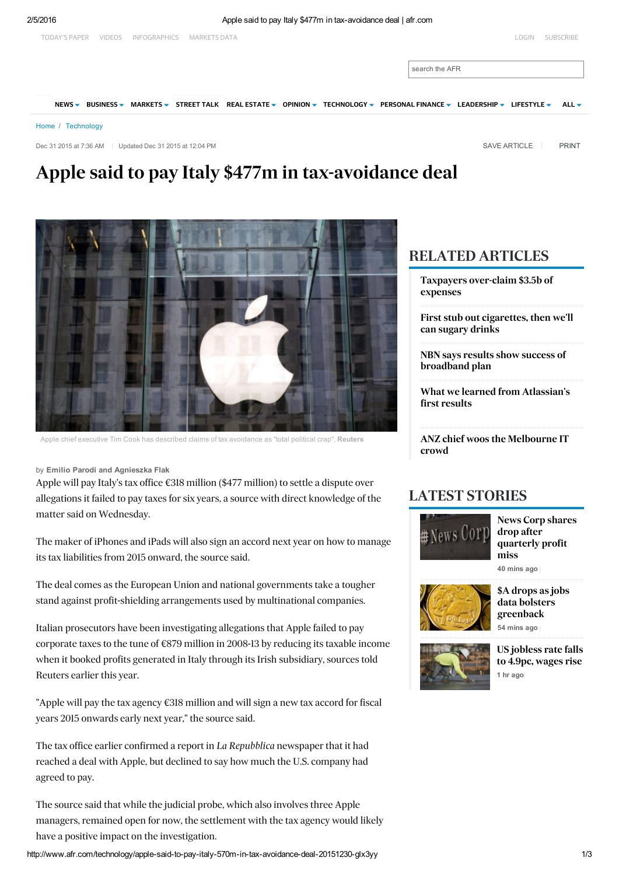[Home](http://www.afr.com/) / [Technology](http://www.afr.com/technology) search the AFR [NEWS](http://www.afr.com/news) **[BUSINESS](http://www.afr.com/business) WARKETS WARKETS [STREET](http://www.afr.com/street-talk) TALK REAL [ESTATE](http://www.afr.com/real-estate) W[OPINION](http://www.afr.com/opinion) WA[TECHNOLOGY](http://www.afr.com/technology) WAP [PERSONAL](http://www.afr.com/personal-finance) FINANCE WALGABERSHIP W[ALL](javascript:;)S** [TODAY'S](http://www.afr.com/accessibility) PAPER [VIDEOS](http://www.afr.com/video) [INFOGRAPHICS](http://www.afr.com/data) [MARKETS](http://tools.afr.com/markets-data/) DATA LOGIN [SUBSCRIBE](http://afr.com/subscribe?iid=houseinv:nnn-15omn0330-acq-consumersubs:bau-06/07/2015-afr_bau-dom-bau_topnav-nnn-afr-o&campaign_code=baujul15&promote_channel=house_inventory)

<span id="page-0-1"></span><span id="page-0-0"></span>Dec 31 2015 at 7:36 AM | Updated Dec 31 2015 at 12:04 PM

SAVE [ARTICLE](javascript:;) | [PRINT](javascript:window.print();)

# Apple said to pay Italy \$477m in tax-avoidance deal



Apple chief executive Tim Cook has described claims of tax avoidance as "total political crap". Reuters

### by Emilio Parodi and Agnieszka Flak

Apple will pay Italy's tax office €318 million (\$477 million) to settle a dispute over allegations it failed to pay taxes for six years, a source with direct knowledge of the matter said on Wednesday.

The maker of iPhones and iPads will also sign an accord next year on how to manage its tax liabilities from 2015 onward, the source said.

The deal comes as the European Union and national governments take a tougher stand against profit-shielding arrangements used by multinational companies.

Italian prosecutors have been investigating allegations that Apple failed to pay corporate taxes to the tune of €879 million in 2008-13 by reducing its taxable income when it booked profits generated in Italy through its Irish subsidiary, sources told Reuters earlier this year.

"Apple will pay the tax agency €318 million and will sign a new tax accord for fiscal years 2015 onwards early next year," the source said.

The tax office earlier confirmed a report in La Repubblica newspaper that it had reached a deal with Apple, but declined to say how much the U.S. company had agreed to pay.

The source said that while the judicial probe, which also involves three Apple managers, remained open for now, the settlement with the tax agency would likely have a positive impact on the investigation.

#### http://www.afr.com/technology/apple-said-to-pay-italy-570m-in-tax-avoidance-deal-20151230-glx3yy 1/3

# RELATED ARTICLES

Taxpayers [over-claim](http://www.afr.com/news/policy/tax/ato-has-lost-control-of-dodgy-tax-deductions-says-former-official-20160205-gmmjnm) \$3.5b of expenses

First stub out [cigarettes,](http://www.afr.com/business/health/australia-a-smokefree-nation-by-2025-next-are-sugary-drinks-20160204-gmm9sy) then we'll can sugary drinks

NBN says results show success of [broadband](http://www.afr.com/technology/nbn-says-results-show-likely-future-success-of-broadband-plan-20160205-gmmjc6) plan

What we learned from [Atlassian's](http://www.afr.com/technology/atlassians-first-results-what-we-learned-20160204-gmmdul) first results

ANZ chief woos the [Melbourne](http://www.afr.com/business/banking-and-finance/financial-services/anz-bank-boss-shayne-elliott-tells-melbourne-fintech-meetup-hes-ready-to-invest-20160204-gmlgh5) IT crowd

# LATEST STORIES



40 mins ago News Corp shares drop after [quarterly](http://www.afr.com/business/media-and-marketing/publishing/news-corp-shares-drop-after-quarterly-profit-miss-20160205-gmn7x9) profit miss

\$A drops as jobs data bolsters [greenback](http://www.afr.com/markets/a-drops-as-jobs-data-bolsters-greenback-20160205-gmn7te)



1 hr ago US [jobless](http://www.afr.com/news/world/us-jobless-rate-falls-to-49pc-wages-rise-20160205-gmn7v3) rate falls to 4.9pc, wages rise

54 mins ago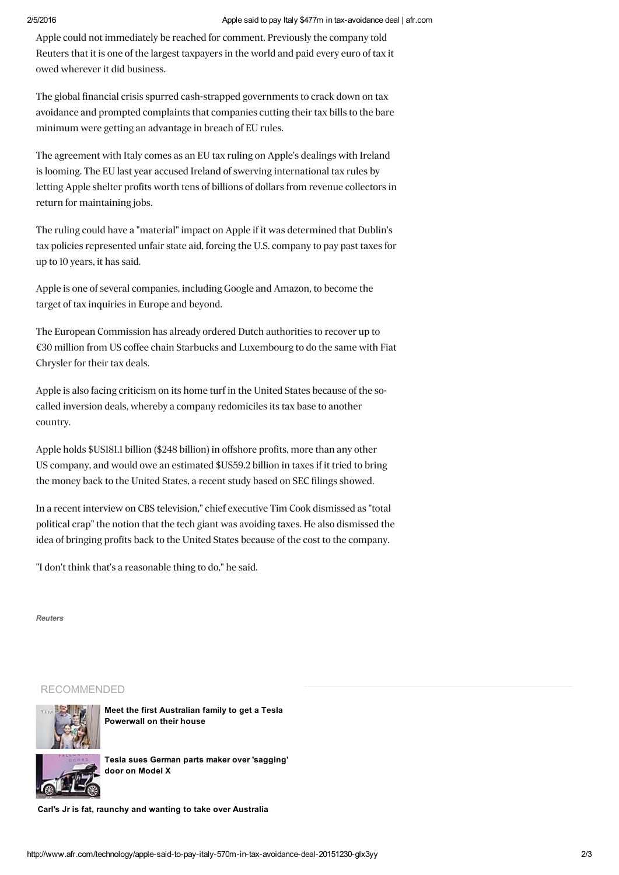Apple could not immediately be reached for comment. Previously the company told Reuters that it is one of the largest taxpayers in the world and paid every euro of tax it owed wherever it did business.

The global financial crisis spurred cash-strapped governments to crack down on tax avoidance and prompted complaints that companies cutting their tax bills to the bare minimum were getting an advantage in breach of EU rules.

The agreement with Italy comes as an EU tax ruling on Apple's dealings with Ireland is looming. The EU last year accused Ireland of swerving international tax rules by letting Apple shelter profits worth tens of billions of dollars from revenue collectors in return for maintaining jobs.

The ruling could have a "material" impact on Apple if it was determined that Dublin's tax policies represented unfair state aid, forcing the U.S. company to pay past taxes for up to 10 years, it has said.

Apple is one of several companies, including Google and Amazon, to become the target of tax inquiries in Europe and beyond.

The European Commission has already ordered Dutch authorities to recover up to €30 million from US coffee chain Starbucks and Luxembourg to do the same with Fiat Chrysler for their tax deals.

Apple is also facing criticism on its home turf in the United States because of the socalled inversion deals, whereby a company redomiciles its tax base to another country.

Apple holds \$US181.1 billion (\$248 billion) in offshore profits, more than any other US company, and would owe an estimated \$US59.2 billion in taxes if it tried to bring the money back to the United States, a recent study based on SEC filings showed.

In a recent interview on CBS television," chief executive Tim Cook dismissed as "total political crap" the notion that the tech giant was avoiding taxes. He also dismissed the idea of bringing profits back to the United States because of the cost to the company.

"I don't think that's a reasonable thing to do," he said.

*Reuters*

# RECOMMENDED



Meet the first [Australian](http://www.afr.com/technology/meet-the-first-australian-family-to-get-a-tesla-powerwall-on-their-house-20160128-gmgmnq) family to get a Tesla Powerwall on their house



Tesla sues German parts maker over ['sagging'](http://www.afr.com/technology/tesla-sues-german-parts-maker-over-sagging-door-on-model-x-20160121-gmbicj) door on Model X

Carl's Jr is fat, raunchy and wanting to take over [Australia](http://www.afr.com/business/retail/carls-jr-is-fat-raunchy-and-wanting-to-take-over-australia-20160201-gmiybw)